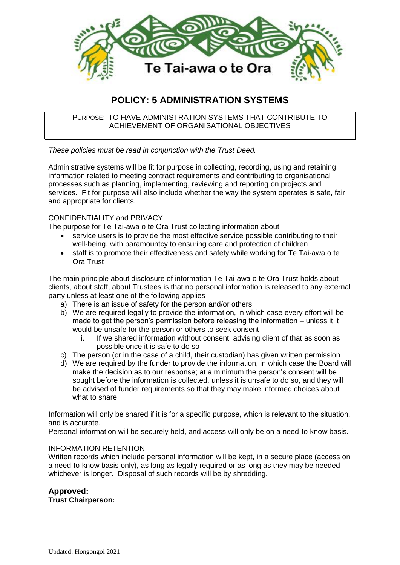

# **POLICY: 5 ADMINISTRATION SYSTEMS**

PURPOSE: TO HAVE ADMINISTRATION SYSTEMS THAT CONTRIBUTE TO ACHIEVEMENT OF ORGANISATIONAL OBJECTIVES

*These policies must be read in conjunction with the Trust Deed.*

Administrative systems will be fit for purpose in collecting, recording, using and retaining information related to meeting contract requirements and contributing to organisational processes such as planning, implementing, reviewing and reporting on projects and services. Fit for purpose will also include whether the way the system operates is safe, fair and appropriate for clients.

#### CONFIDENTIALITY and PRIVACY

The purpose for Te Tai-awa o te Ora Trust collecting information about

- service users is to provide the most effective service possible contributing to their well-being, with paramountcy to ensuring care and protection of children
- staff is to promote their effectiveness and safety while working for Te Tai-awa o te Ora Trust

The main principle about disclosure of information Te Tai-awa o te Ora Trust holds about clients, about staff, about Trustees is that no personal information is released to any external party unless at least one of the following applies

- a) There is an issue of safety for the person and/or others
- b) We are required legally to provide the information, in which case every effort will be made to get the person's permission before releasing the information – unless it it would be unsafe for the person or others to seek consent
	- i. If we shared information without consent, advising client of that as soon as possible once it is safe to do so
- c) The person (or in the case of a child, their custodian) has given written permission
- d) We are required by the funder to provide the information, in which case the Board will make the decision as to our response; at a minimum the person's consent will be sought before the information is collected, unless it is unsafe to do so, and they will be advised of funder requirements so that they may make informed choices about what to share

Information will only be shared if it is for a specific purpose, which is relevant to the situation, and is accurate.

Personal information will be securely held, and access will only be on a need-to-know basis.

#### INFORMATION RETENTION

Written records which include personal information will be kept, in a secure place (access on a need-to-know basis only), as long as legally required or as long as they may be needed whichever is longer. Disposal of such records will be by shredding.

### **Approved:**

**Trust Chairperson:**